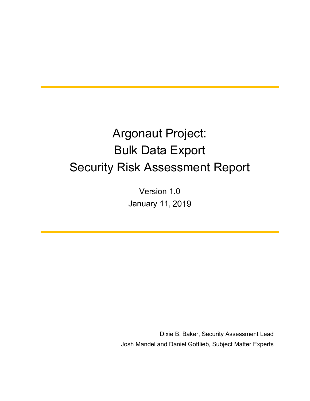# Argonaut Project: Bulk Data Export Security Risk Assessment Report

Version 1.0 January 11, 2018 2019

Dixie B. Baker, Security Assessment Lead Josh Mandel and Daniel Gottlieb, Subject Matter Experts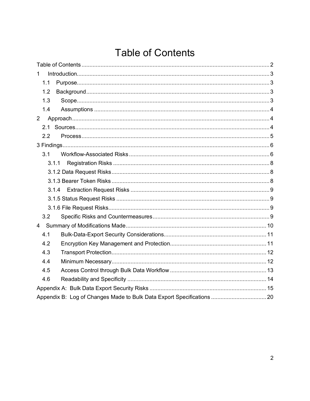## **Table of Contents**

| 1              |  |  |  |  |  |  |  |  |
|----------------|--|--|--|--|--|--|--|--|
| 1.1            |  |  |  |  |  |  |  |  |
| 1.2            |  |  |  |  |  |  |  |  |
| 1.3            |  |  |  |  |  |  |  |  |
| 1.4            |  |  |  |  |  |  |  |  |
| $\overline{2}$ |  |  |  |  |  |  |  |  |
| 2.1            |  |  |  |  |  |  |  |  |
| 2.2            |  |  |  |  |  |  |  |  |
|                |  |  |  |  |  |  |  |  |
| 3.1            |  |  |  |  |  |  |  |  |
| 3.1.1          |  |  |  |  |  |  |  |  |
|                |  |  |  |  |  |  |  |  |
|                |  |  |  |  |  |  |  |  |
| 3.1.4          |  |  |  |  |  |  |  |  |
|                |  |  |  |  |  |  |  |  |
|                |  |  |  |  |  |  |  |  |
| 3.2            |  |  |  |  |  |  |  |  |
| $\overline{4}$ |  |  |  |  |  |  |  |  |
| 4.1            |  |  |  |  |  |  |  |  |
| 4.2            |  |  |  |  |  |  |  |  |
| 4.3            |  |  |  |  |  |  |  |  |
| 4.4            |  |  |  |  |  |  |  |  |
| 4.5            |  |  |  |  |  |  |  |  |
| 4.6            |  |  |  |  |  |  |  |  |
|                |  |  |  |  |  |  |  |  |
|                |  |  |  |  |  |  |  |  |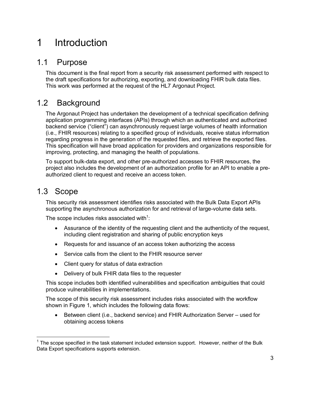## 1 Introduction

### 1.1 Purpose

This document is the final report from a security risk assessment performed with respect to the draft specifications for authorizing, exporting, and downloading FHIR bulk data files. This work was performed at the request of the HL7 Argonaut Project.

## 1.2 Background

The Argonaut Project has undertaken the development of a technical specification defining application programming interfaces (APIs) through which an authenticated and authorized backend service ("client") can asynchronously request large volumes of health information (i.e., FHIR resources) relating to a specified group of individuals, receive status information regarding progress in the generation of the requested files, and retrieve the exported files. This specification will have broad application for providers and organizations responsible for improving, protecting, and managing the health of populations.

To support bulk-data export, and other pre-authorized accesses to FHIR resources, the project also includes the development of an authorization profile for an API to enable a preauthorized client to request and receive an access token.

## 1.3 Scope

This security risk assessment identifies risks associated with the Bulk Data Export APIs supporting the asynchronous authorization for and retrieval of large-volume data sets.

The scope includes risks associated with<sup>1</sup>:

- Assurance of the identity of the requesting client and the authenticity of the request, including client registration and sharing of public encryption keys
- Requests for and issuance of an access token authorizing the access
- Service calls from the client to the FHIR resource server
- Client query for status of data extraction
- Delivery of bulk FHIR data files to the requester

This scope includes both identified vulnerabilities and specification ambiguities that could produce vulnerabilities in implementations.

The scope of this security risk assessment includes risks associated with the workflow shown in Figure 1, which includes the following data flows:

• Between client (i.e., backend service) and FHIR Authorization Server – used for obtaining access tokens

 $1$  The scope specified in the task statement included extension support. However, neither of the Bulk Data Export specifications supports extension.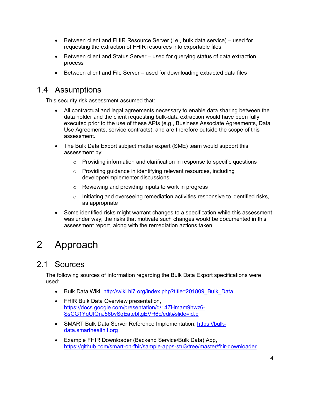- Between client and FHIR Resource Server (i.e., bulk data service) used for requesting the extraction of FHIR resources into exportable files
- Between client and Status Server used for querying status of data extraction process
- Between client and File Server used for downloading extracted data files

## 1.4 Assumptions

This security risk assessment assumed that:

- All contractual and legal agreements necessary to enable data sharing between the data holder and the client requesting bulk-data extraction would have been fully executed prior to the use of these APIs (e.g., Business Associate Agreements, Data Use Agreements, service contracts), and are therefore outside the scope of this assessment.
- The Bulk Data Export subject matter expert (SME) team would support this assessment by:
	- o Providing information and clarification in response to specific questions
	- o Providing guidance in identifying relevant resources, including developer/implementer discussions
	- o Reviewing and providing inputs to work in progress
	- $\circ$  Initiating and overseeing remediation activities responsive to identified risks, as appropriate
- Some identified risks might warrant changes to a specification while this assessment was under way; the risks that motivate such changes would be documented in this assessment report, along with the remediation actions taken.

## 2 Approach

## 2.1 Sources

The following sources of information regarding the Bulk Data Export specifications were used:

- Bulk Data Wiki, http://wiki.hl7.org/index.php?title=201809\_Bulk\_Data
- FHIR Bulk Data Overview presentation, https://docs.google.com/presentation/d/14ZHmam9hwz6- SsCG1YqUIQnJ56bvSqEatebltgEVR6c/edit#slide=id.p
- SMART Bulk Data Server Reference Implementation, https://bulkdata.smarthealthit.org
- Example FHIR Downloader (Backend Service/Bulk Data) App, https://github.com/smart-on-fhir/sample-apps-stu3/tree/master/fhir-downloader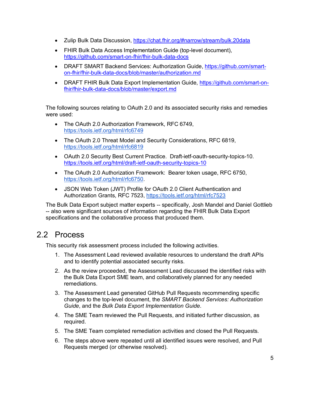- Zulip Bulk Data Discussion, https://chat.fhir.org/#narrow/stream/bulk.20data
- FHIR Bulk Data Access Implementation Guide (top-level document), https://github.com/smart-on-fhir/fhir-bulk-data-docs
- DRAFT SMART Backend Services: Authorization Guide, https://github.com/smarton-fhir/fhir-bulk-data-docs/blob/master/authorization.md
- DRAFT FHIR Bulk Data Export Implementation Guide, https://github.com/smart-onfhir/fhir-bulk-data-docs/blob/master/export.md

The following sources relating to OAuth 2.0 and its associated security risks and remedies were used:

- The OAuth 2.0 Authorization Framework, RFC 6749, https://tools.ietf.org/html/rfc6749
- The OAuth 2.0 Threat Model and Security Considerations, RFC 6819, https://tools.ietf.org/html/rfc6819
- OAuth 2.0 Security Best Current Practice. Draft-ietf-oauth-security-topics-10. https://tools.ietf.org/html/draft-ietf-oauth-security-topics-10
- The OAuth 2.0 Authorization Framework: Bearer token usage, RFC 6750, https://tools.ietf.org/html/rfc6750.
- JSON Web Token (JWT) Profile for OAuth 2.0 Client Authentication and Authorization Grants, RFC 7523, https://tools.ietf.org/html/rfc7523

The Bulk Data Export subject matter experts -- specifically, Josh Mandel and Daniel Gottlieb -- also were significant sources of information regarding the FHIR Bulk Data Export specifications and the collaborative process that produced them.

## 2.2 Process

This security risk assessment process included the following activities.

- 1. The Assessment Lead reviewed available resources to understand the draft APIs and to identify potential associated security risks.
- 2. As the review proceeded, the Assessment Lead discussed the identified risks with the Bulk Data Export SME team, and collaboratively planned for any needed remediations.
- 3. The Assessment Lead generated GitHub Pull Requests recommending specific changes to the top-level document, the *SMART Backend Services: Authorization Guide*, and the *Bulk Data Export Implementation Guide*.
- 4. The SME Team reviewed the Pull Requests, and initiated further discussion, as required.
- 5. The SME Team completed remediation activities and closed the Pull Requests.
- 6. The steps above were repeated until all identified issues were resolved, and Pull Requests merged (or otherwise resolved).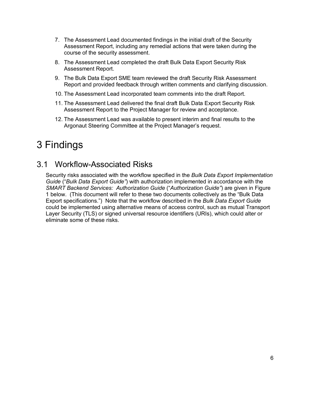- 7. The Assessment Lead documented findings in the initial draft of the Security Assessment Report, including any remedial actions that were taken during the course of the security assessment.
- 8. The Assessment Lead completed the draft Bulk Data Export Security Risk Assessment Report.
- 9. The Bulk Data Export SME team reviewed the draft Security Risk Assessment Report and provided feedback through written comments and clarifying discussion.
- 10. The Assessment Lead incorporated team comments into the draft Report.
- 11. The Assessment Lead delivered the final draft Bulk Data Export Security Risk Assessment Report to the Project Manager for review and acceptance.
- 12. The Assessment Lead was available to present interim and final results to the Argonaut Steering Committee at the Project Manager's request.

## 3 Findings

## 3.1 Workflow-Associated Risks

Security risks associated with the workflow specified in the *Bulk Data Export Implementation Guide* ("*Bulk Data Export Guide"*) with authorization implemented in accordance with the *SMART Backend Services: Authorization Guide* ("*Authorization Guide"*) are given in Figure 1 below. (This document will refer to these two documents collectively as the "Bulk Data Export specifications.") Note that the workflow described in the *Bulk Data Export Guide* could be implemented using alternative means of access control, such as mutual Transport Layer Security (TLS) or signed universal resource identifiers (URIs), which could alter or eliminate some of these risks.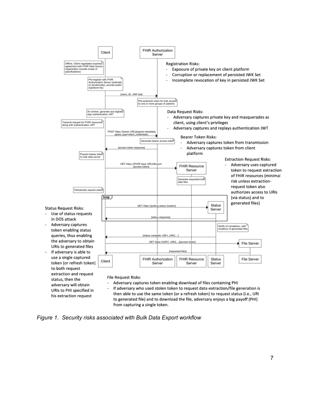

*Figure 1. Security risks associated with Bulk Data Export workflow*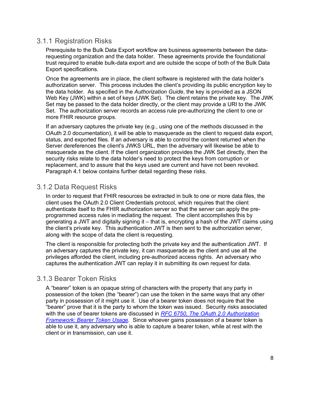#### 3.1.1 Registration Risks

Prerequisite to the Bulk Data Export workflow are business agreements between the datarequesting organization and the data holder. These agreements provide the foundational trust required to enable bulk-data export and are outside the scope of both of the Bulk Data Export specifications.

Once the agreements are in place, the client software is registered with the data holder's authorization server. This process includes the client's providing its public encryption key to the data holder. As specified in the *Authorization Guide*, the key is provided as a JSON Web Key (JWK) within a set of keys (JWK Set). The client retains the private key. The JWK Set may be passed to the data holder directly, or the client may provide a URI to the JWK Set. The authorization server records an access rule pre-authorizing the client to one or more FHIR resource groups.

If an adversary captures the private key (e.g., using one of the methods discussed in the OAuth 2.0 documentation), it will be able to masquerade as the client to request data export, status, and exported files. If an adversary is able to control the content returned when the Server dereferences the client's JWKS URL, then the adversary will likewise be able to masquerade as the client. If the client organization provides the JWK Set directly, then the security risks relate to the data holder's need to protect the keys from corruption or replacement, and to assure that the keys used are current and have not been revoked. Paragraph 4.1 below contains further detail regarding these risks.

#### 3.1.2 Data Request Risks

In order to request that FHIR resources be extracted in bulk to one or more data files, the client uses the OAuth 2.0 Client Credentials protocol, which requires that the client authenticate itself to the FHIR authorization server so that the server can apply the preprogrammed access rules in mediating the request. The client accomplishes this by generating a JWT and digitally signing it – that is, encrypting a hash of the JWT claims using the client's private key. This authentication JWT is then sent to the authorization server, along with the scope of data the client is requesting.

The client is responsible for protecting both the private key and the authentication JWT. If an adversary captures the private key, it can masquerade as the client and use all the privileges afforded the client, including pre-authorized access rights. An adversary who captures the authentication JWT can replay it in submitting its own request for data.

#### 3.1.3 Bearer Token Risks

A "bearer" token is an opaque string of characters with the property that any party in possession of the token (the "bearer") can use the token in the same ways that any other party in possession of it might use it. Use of a bearer token does not require that the "bearer" prove that it is the party to whom the token was issued. Security risks associated with the use of bearer tokens are discussed in *RFC 6750, The OAuth 2.0 Authorization Framework: Bearer Token Usage.* Since whoever gains possession of a bearer token is able to use it, any adversary who is able to capture a bearer token, while at rest with the client or in transmission, can use it.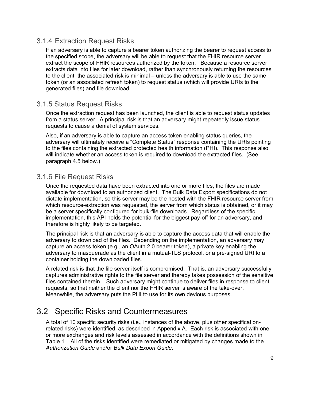#### 3.1.4 Extraction Request Risks

If an adversary is able to capture a bearer token authorizing the bearer to request access to the specified scope, the adversary will be able to request that the FHIR resource server extract the scope of FHIR resources authorized by the token. Because a resource server extracts data into files for later download, rather than synchronously returning the resources to the client, the associated risk is minimal – unless the adversary is able to use the same token (or an associated refresh token) to request status (which will provide URIs to the generated files) and file download.

#### 3.1.5 Status Request Risks

Once the extraction request has been launched, the client is able to request status updates from a status server. A principal risk is that an adversary might repeatedly issue status requests to cause a denial of system services.

Also, if an adversary is able to capture an access token enabling status queries, the adversary will ultimately receive a "Complete Status" response containing the URIs pointing to the files containing the extracted protected health information (PHI). This response also will indicate whether an access token is required to download the extracted files. (See paragraph 4.5 below.)

#### 3.1.6 File Request Risks

Once the requested data have been extracted into one or more files, the files are made available for download to an authorized client. The Bulk Data Export specifications do not dictate implementation, so this server may be the hosted with the FHIR resource server from which resource-extraction was requested, the server from which status is obtained, or it may be a server specifically configured for bulk-file downloads. Regardless of the specific implementation, this API holds the potential for the biggest pay-off for an adversary, and therefore is highly likely to be targeted.

The principal risk is that an adversary is able to capture the access data that will enable the adversary to download of the files. Depending on the implementation, an adversary may capture an access token (e.g., an OAuth 2.0 bearer token), a private key enabling the adversary to masquerade as the client in a mutual-TLS protocol, or a pre-signed URI to a container holding the downloaded files.

A related risk is that the file server itself is compromised. That is, an adversary successfully captures administrative rights to the file server and thereby takes possession of the sensitive files contained therein. Such adversary might continue to deliver files in response to client requests, so that neither the client nor the FHIR server is aware of the take-over. Meanwhile, the adversary puts the PHI to use for its own devious purposes.

### 3.2 Specific Risks and Countermeasures

A total of 10 specific security risks (i.e., instances of the above, plus other specificationrelated risks) were identified, as described in Appendix A. Each risk is associated with one or more exchanges and risk levels assessed in accordance with the definitions shown in Table 1. All of the risks identified were remediated or mitigated by changes made to the *Authorization Guide* and/or *Bulk Data Export Guide*.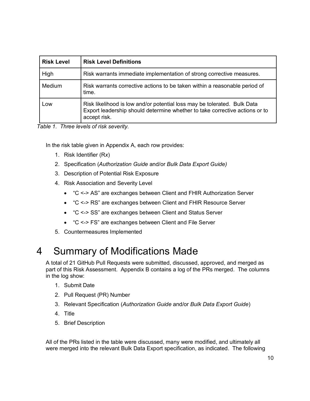| <b>Risk Level</b> | <b>Risk Level Definitions</b>                                                                                                                                           |  |  |  |  |
|-------------------|-------------------------------------------------------------------------------------------------------------------------------------------------------------------------|--|--|--|--|
| High              | Risk warrants immediate implementation of strong corrective measures.                                                                                                   |  |  |  |  |
| Medium            | Risk warrants corrective actions to be taken within a reasonable period of<br>time.                                                                                     |  |  |  |  |
| Low               | Risk likelihood is low and/or potential loss may be tolerated. Bulk Data<br>Export leadership should determine whether to take corrective actions or to<br>accept risk. |  |  |  |  |

*Table 1. Three levels of risk severity.*

In the risk table given in Appendix A, each row provides:

- 1. Risk Identifier (R*x*)
- 2. Specification (*Authorization Guide* and/or *Bulk Data Export Guide)*
- 3. Description of Potential Risk Exposure
- 4. Risk Association and Severity Level
	- "C <-> AS" are exchanges between Client and FHIR Authorization Server
	- "C <-> RS" are exchanges between Client and FHIR Resource Server
	- "C <-> SS" are exchanges between Client and Status Server
	- "C <-> FS" are exchanges between Client and File Server
- 5. Countermeasures Implemented

## 4 Summary of Modifications Made

A total of 21 GitHub Pull Requests were submitted, discussed, approved, and merged as part of this Risk Assessment. Appendix B contains a log of the PRs merged. The columns in the log show:

- 1. Submit Date
- 2. Pull Request (PR) Number
- 3. Relevant Specification (*Authorization Guide* and/or *Bulk Data Export Guide*)
- 4. Title
- 5. Brief Description

All of the PRs listed in the table were discussed, many were modified, and ultimately all were merged into the relevant Bulk Data Export specification, as indicated. The following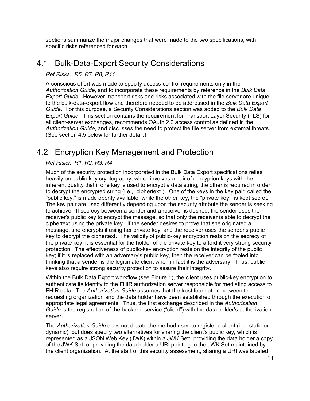sections summarize the major changes that were made to the two specifications, with specific risks referenced for each.

### 4.1 Bulk-Data-Export Security Considerations

#### *Ref Risks: R5, R7, R8, R11*

A conscious effort was made to specify access-control requirements only in the *Authorization Guide*, and to incorporate these requirements by reference in the *Bulk Data Export Guide*. However, transport risks and risks associated with the file server are unique to the bulk-data-export flow and therefore needed to be addressed in the *Bulk Data Export Guide*. For this purpose, a Security Considerations section was added to the *Bulk Data Export Guide*. This section contains the requirement for Transport Layer Security (TLS) for all client-server exchanges, recommends OAuth 2.0 access control as defined in the *Authorization Guide*, and discusses the need to protect the file server from external threats. (See section 4.5 below for further detail.)

### 4.2 Encryption Key Management and Protection

#### *Ref Risks: R1, R2, R3, R4*

Much of the security protection incorporated in the Bulk Data Export specifications relies heavily on public-key cryptography, which involves a pair of encryption keys with the inherent quality that if one key is used to encrypt a data string, the other is required in order to decrypt the encrypted string (i.e., "ciphertext"). One of the keys in the key pair, called the "public key," is made openly available, while the other key, the "private key," is kept secret. The key pair are used differently depending upon the security attribute the sender is seeking to achieve. If secrecy between a sender and a receiver is desired, the sender uses the receiver's public key to encrypt the message, so that only the receiver is able to decrypt the ciphertext using the private key. If the sender desires to prove that she originated a message, she encrypts it using her private key, and the receiver uses the sender's public key to decrypt the ciphertext. The validity of public-key encryption rests on the secrecy of the private key; it is essential for the holder of the private key to afford it very strong security protection. The effectiveness of public-key encryption rests on the integrity of the public key; if it is replaced with an adversary's public key, then the receiver can be fooled into thinking that a sender is the legitimate client when in fact it is the adversary. Thus, public keys also require strong security protection to assure their integrity.

Within the Bulk Data Export workflow (see Figure 1), the client uses public-key encryption to authenticate its identity to the FHIR authorization server responsible for mediating access to FHIR data. The *Authorization Guide* assumes that the trust foundation between the requesting organization and the data holder have been established through the execution of appropriate legal agreements. Thus, the first exchange described in the *Authorization Guide* is the registration of the backend service ("client") with the data holder's authorization server.

The *Authorization Guide* does not dictate the method used to register a client (i.e., static or dynamic), but does specify two alternatives for sharing the client's public key, which is represented as a JSON Web Key (JWK) within a JWK Set: providing the data holder a copy of the JWK Set, or providing the data holder a URI pointing to the JWK Set maintained by the client organization. At the start of this security assessment, sharing a URI was labeled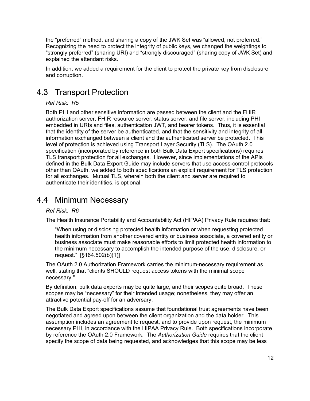the "preferred" method, and sharing a copy of the JWK Set was "allowed, not preferred." Recognizing the need to protect the integrity of public keys, we changed the weightings to "strongly preferred" (sharing URI) and "strongly discouraged" (sharing copy of JWK Set) and explained the attendant risks.

In addition, we added a requirement for the client to protect the private key from disclosure and corruption.

## 4.3 Transport Protection

#### *Ref Risk: R5*

Both PHI and other sensitive information are passed between the client and the FHIR authorization server, FHIR resource server, status server, and file server, including PHI embedded in URIs and files, authentication JWT, and bearer tokens. Thus, it is essential that the identity of the server be authenticated, and that the sensitivity and integrity of all information exchanged between a client and the authenticated server be protected. This level of protection is achieved using Transport Layer Security (TLS). The OAuth 2.0 specification (incorporated by reference in both Bulk Data Export specifications) requires TLS transport protection for all exchanges. However, since implementations of the APIs defined in the Bulk Data Export Guide may include servers that use access-control protocols other than OAuth, we added to both specifications an explicit requirement for TLS protection for all exchanges. Mutual TLS, wherein both the client and server are required to authenticate their identities, is optional.

## 4.4 Minimum Necessary

#### *Ref Risk: R6*

The Health Insurance Portability and Accountability Act (HIPAA) Privacy Rule requires that:

"When using or disclosing protected health information or when requesting protected health information from another covered entity or business associate, a covered entity or business associate must make reasonable efforts to limit protected health information to the minimum necessary to accomplish the intended purpose of the use, disclosure, or request." [§164.502(b)(1)]

The OAuth 2.0 Authorization Framework carries the minimum-necessary requirement as well, stating that "clients SHOULD request access tokens with the minimal scope necessary."

By definition, bulk data exports may be quite large, and their scopes quite broad. These scopes may be "necessary" for their intended usage; nonetheless, they may offer an attractive potential pay-off for an adversary.

The Bulk Data Export specifications assume that foundational trust agreements have been negotiated and agreed upon between the client organization and the data holder. This assumption includes an agreement to request, and to provide upon request, the minimum necessary PHI, in accordance with the HIPAA Privacy Rule. Both specifications incorporate by reference the OAuth 2.0 Framework. The *Authorization Guide* requires that the client specify the scope of data being requested, and acknowledges that this scope may be less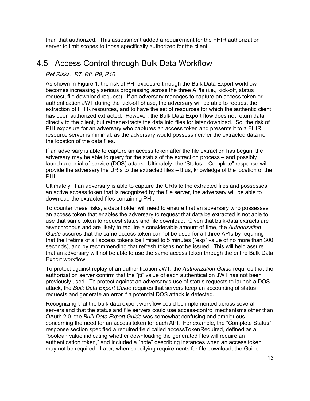than that authorized. This assessment added a requirement for the FHIR authorization server to limit scopes to those specifically authorized for the client.

### 4.5 Access Control through Bulk Data Workflow

#### *Ref Risks: R7, R8, R9, R10*

As shown in Figure 1, the risk of PHI exposure through the Bulk Data Export workflow becomes increasingly serious progressing across the three APIs (i.e., kick-off, status request, file download request). If an adversary manages to capture an access token or authentication JWT during the kick-off phase, the adversary will be able to request the extraction of FHIR resources, and to have the set of resources for which the authentic client has been authorized extracted. However, the Bulk Data Export flow does not return data directly to the client, but rather extracts the data into files for later download. So, the risk of PHI exposure for an adversary who captures an access token and presents it to a FHIR resource server is minimal, as the adversary would possess neither the extracted data nor the location of the data files.

If an adversary is able to capture an access token after the file extraction has begun, the adversary may be able to query for the status of the extraction process – and possibly launch a denial-of-service (DOS) attack. Ultimately, the "Status – Complete" response will provide the adversary the URIs to the extracted files – thus, knowledge of the location of the PHI.

Ultimately, if an adversary is able to capture the URIs to the extracted files and possesses an active access token that is recognized by the file server, the adversary will be able to download the extracted files containing PHI.

To counter these risks, a data holder will need to ensure that an adversary who possesses an access token that enables the adversary to request that data be extracted is not able to use that same token to request status and file download. Given that bulk-data extracts are asynchronous and are likely to require a considerable amount of time, the *Authorization Guide* assures that the same access token cannot be used for all three APIs by requiring that the lifetime of all access tokens be limited to 5 minutes ("exp" value of no more than 300 seconds), and by recommending that refresh tokens not be issued. This will help assure that an adversary will not be able to use the same access token through the entire Bulk Data Export workflow.

To protect against replay of an authentication JWT, the *Authorization Guide* requires that the authorization server confirm that the "jti" value of each authentication JWT has not been previously used. To protect against an adversary's use of status requests to launch a DOS attack, the *Bulk Data Export Guide* requires that servers keep an accounting of status requests and generate an error if a potential DOS attack is detected.

Recognizing that the bulk data export workflow could be implemented across several servers and that the status and file servers could use access-control mechanisms other than OAuth 2.0, the *Bulk Data Export Guide* was somewhat confusing and ambiguous concerning the need for an access token for each API. For example, the "Complete Status" response section specified a required field called accessTokenRequired, defined as a "boolean value indicating whether downloading the generated files will require an authentication token," and included a "note" describing instances when an access token may not be required. Later, when specifying requirements for file download, the Guide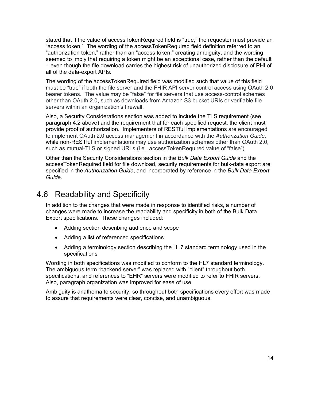stated that if the value of accessTokenRequired field is "true," the requester must provide an "access token." The wording of the accessTokenRequired field definition referred to an "authorization token," rather than an "access token," creating ambiguity, and the wording seemed to imply that requiring a token might be an exceptional case, rather than the default – even though the file download carries the highest risk of unauthorized disclosure of PHI of all of the data-export APIs.

The wording of the accessTokenRequired field was modified such that value of this field must be "true" if both the file server and the FHIR API server control access using OAuth 2.0 bearer tokens. The value may be "false" for file servers that use access-control schemes other than OAuth 2.0, such as downloads from Amazon S3 bucket URIs or verifiable file servers within an organization's firewall.

Also, a Security Considerations section was added to include the TLS requirement (see paragraph 4.2 above) and the requirement that for each specified request, the client must provide proof of authorization. Implementers of RESTful implementations are encouraged to implement OAuth 2.0 access management in accordance with the *Authorization Guide*, while non-RESTful implementations may use authorization schemes other than OAuth 2.0, such as mutual-TLS or signed URLs (i.e., accessTokenRequired value of "false").

Other than the Security Considerations section in the *Bulk Data Export Guide* and the accessTokenRequired field for file download, security requirements for bulk-data export are specified in the *Authorization Guide*, and incorporated by reference in the *Bulk Data Export Guide*.

## 4.6 Readability and Specificity

In addition to the changes that were made in response to identified risks, a number of changes were made to increase the readability and specificity in both of the Bulk Data Export specifications. These changes included:

- Adding section describing audience and scope
- Adding a list of referenced specifications
- Adding a terminology section describing the HL7 standard terminology used in the specifications

Wording in both specifications was modified to conform to the HL7 standard terminology. The ambiguous term "backend server" was replaced with "client" throughout both specifications, and references to "EHR" servers were modified to refer to FHIR servers. Also, paragraph organization was improved for ease of use.

Ambiguity is anathema to security, so throughout both specifications every effort was made to assure that requirements were clear, concise, and unambiguous.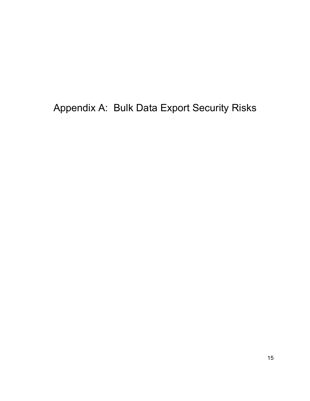Appendix A: Bulk Data Export Security Risks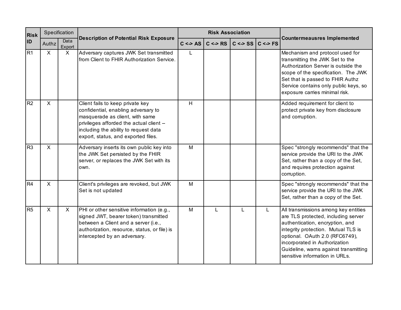| <b>Risk</b>    | Specification |                                                                                                                                                                                                                            |                                                                                                                                                                                                                                        |             | <b>Risk Association</b> |                               | <b>Countermeausres Implemented</b> |                                                                                                                                                                                                                                                                                                     |
|----------------|---------------|----------------------------------------------------------------------------------------------------------------------------------------------------------------------------------------------------------------------------|----------------------------------------------------------------------------------------------------------------------------------------------------------------------------------------------------------------------------------------|-------------|-------------------------|-------------------------------|------------------------------------|-----------------------------------------------------------------------------------------------------------------------------------------------------------------------------------------------------------------------------------------------------------------------------------------------------|
| <b>ID</b>      | Authz         | Data<br>Export                                                                                                                                                                                                             | <b>Description of Potential Risk Exposure</b>                                                                                                                                                                                          | $C \leq$ AS | $C \Leftrightarrow RS$  | $C \leq S \leq  C  \leq S$ FS |                                    |                                                                                                                                                                                                                                                                                                     |
| R1             | $\mathsf{X}$  | X                                                                                                                                                                                                                          | Adversary captures JWK Set transmitted<br>from Client to FHIR Authorization Service.                                                                                                                                                   | L           |                         |                               |                                    | Mechanism and protocol used for<br>transmitting the JWK Set to the<br>Authorization Server is outside the<br>scope of the specification. The JWK<br>Set that is passed to FHIR Authz<br>Service contains only public keys, so<br>exposure carries minimal risk.                                     |
| R <sub>2</sub> | $\mathsf{X}$  |                                                                                                                                                                                                                            | Client fails to keep private key<br>confidential, enabling adversary to<br>masquerade as client, with same<br>privileges afforded the actual client --<br>including the ability to request data<br>export, status, and exported files. | H           |                         |                               |                                    | Added requirement for client to<br>protect private key from disclosure<br>and corruption.                                                                                                                                                                                                           |
| R <sub>3</sub> | $\sf X$       |                                                                                                                                                                                                                            | Adversary inserts its own public key into<br>the JWK Set persisted by the FHIR<br>server, or replaces the JWK Set with its<br>own.                                                                                                     | M           |                         |                               |                                    | Spec "strongly recommends" that the<br>service provide the URI to the JWK<br>Set, rather than a copy of the Set,<br>and requires protection against<br>corruption.                                                                                                                                  |
| R4             | $\mathsf{X}$  |                                                                                                                                                                                                                            | Client's privileges are revoked, but JWK<br>Set is not updated                                                                                                                                                                         | M           |                         |                               |                                    | Spec "strongly recommends" that the<br>service provide the URI to the JWK<br>Set, rather than a copy of the Set.                                                                                                                                                                                    |
| R <sub>5</sub> | $\mathsf{X}$  | PHI or other sensitive information (e.g.,<br>$\mathsf{X}$<br>signed JWT, bearer token) transmitted<br>between a Client and a server (i.e.,<br>authorization, resource, status, or file) is<br>intercepted by an adversary. |                                                                                                                                                                                                                                        | M           | L                       | L                             | L                                  | All transmissions among key entities<br>are TLS protected, including server<br>authentication, encryption, and<br>integrity protection. Mutual TLS is<br>optional. OAuth 2.0 (RFC6749),<br>incorporated in Authorization<br>Guideline, warns against transmitting<br>sensitive information in URLs. |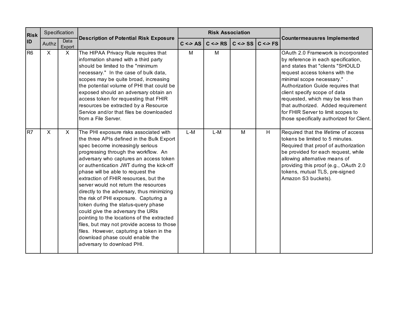| <b>Risk</b>    | Specification |                |                                                                                                                                                                                                                                                                                                                                                                                                                                                                                                                                                                                                                                                                                                                                                           |               | <b>Risk Association</b> |                               |   |                                                                                                                                                                                                                                                                                                                                                                                                                    |
|----------------|---------------|----------------|-----------------------------------------------------------------------------------------------------------------------------------------------------------------------------------------------------------------------------------------------------------------------------------------------------------------------------------------------------------------------------------------------------------------------------------------------------------------------------------------------------------------------------------------------------------------------------------------------------------------------------------------------------------------------------------------------------------------------------------------------------------|---------------|-------------------------|-------------------------------|---|--------------------------------------------------------------------------------------------------------------------------------------------------------------------------------------------------------------------------------------------------------------------------------------------------------------------------------------------------------------------------------------------------------------------|
| <b>ID</b>      | Authz         | Data<br>Export | <b>Description of Potential Risk Exposure</b>                                                                                                                                                                                                                                                                                                                                                                                                                                                                                                                                                                                                                                                                                                             | $C \leq S$ AS | $C \Leftrightarrow RS$  | $C \leq S \leq  C  \leq S$ FS |   | <b>Countermeausres Implemented</b>                                                                                                                                                                                                                                                                                                                                                                                 |
| R <sub>6</sub> | $\mathsf{X}$  | X              | The HIPAA Privacy Rule requires that<br>information shared with a third party<br>should be limited to the "minimum<br>necessary." In the case of bulk data,<br>scopes may be quite broad, increasing<br>the potential volume of PHI that could be<br>exposed should an adversary obtain an<br>access token for requesting that FHIR<br>resources be extracted by a Resource<br>Service and/or that files be downloaded<br>from a File Server.                                                                                                                                                                                                                                                                                                             | M             | M                       |                               |   | OAuth 2.0 Framework is incorporated<br>by reference in each specification,<br>and states that "clients "SHOULD<br>request access tokens with the<br>minimal scope necessary." .<br>Authorization Guide requires that<br>client specify scope of data<br>requested, which may be less than<br>that authorized. Added requirement<br>for FHIR Server to limit scopes to<br>those specifically authorized for Client. |
| R7             | $\mathsf{X}$  | $\mathsf{X}$   | The PHI exposure risks associated with<br>the three APIs defined in the Bulk Export<br>spec become increasingly serious<br>progressing through the workflow. An<br>adversary who captures an access token<br>or authentication JWT during the kick-off<br>phase will be able to request the<br>extraction of FHIR resources, but the<br>server would not return the resources<br>directly to the adversary, thus minimizing<br>the risk of PHI exposure. Capturing a<br>token during the status-query phase<br>could give the adversary the URIs<br>pointing to the locations of the extracted<br>files, but may not provide access to those<br>files. However, capturing a token in the<br>download phase could enable the<br>adversary to download PHI. | $L-M$         | $L-M$                   | M                             | H | Required that the lifetime of access<br>tokens be limited to 5 minutes.<br>Required that proof of authorization<br>be provided for each request, while<br>allowing alternative means of<br>providing this proof (e.g., OAuth 2.0<br>tokens, mutual TLS, pre-signed<br>Amazon S3 buckets).                                                                                                                          |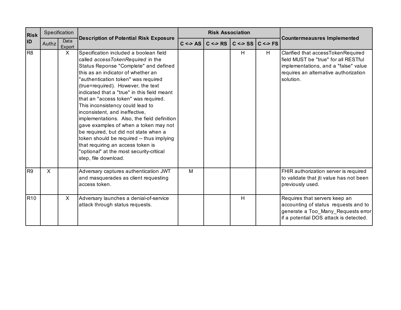| <b>Risk</b>     | Specification                                                                             |              |                                                                                                                                                                                                                                                                                                                                                                                                                                                                                                                                                                                                                                                                                             |   | <b>Risk Association</b>      |                           |                                                                                                                                                       |                                                                                                                                                                          |
|-----------------|-------------------------------------------------------------------------------------------|--------------|---------------------------------------------------------------------------------------------------------------------------------------------------------------------------------------------------------------------------------------------------------------------------------------------------------------------------------------------------------------------------------------------------------------------------------------------------------------------------------------------------------------------------------------------------------------------------------------------------------------------------------------------------------------------------------------------|---|------------------------------|---------------------------|-------------------------------------------------------------------------------------------------------------------------------------------------------|--------------------------------------------------------------------------------------------------------------------------------------------------------------------------|
| ID              | Data<br>Authz<br>Export                                                                   |              | <b>Description of Potential Risk Exposure</b>                                                                                                                                                                                                                                                                                                                                                                                                                                                                                                                                                                                                                                               |   | $C \leq$ AS $ C \leq$ RS $ $ | $C \leq S \leq C \leq FS$ |                                                                                                                                                       | <b>Countermeausres Implemented</b>                                                                                                                                       |
| R <sub>8</sub>  |                                                                                           | $\mathsf{X}$ | Specification included a boolean field<br>called accessTokenRequired in the<br>Status Reponse "Complete" and defined<br>this as an indicator of whether an<br>"authentication token" was required<br>(true=required). However, the text<br>indicated that a "true" in this field meant<br>that an "access token" was required.<br>This inconsistency could lead to<br>inconsistent, and ineffective,<br>implementations. Also, the field definition<br>gave examples of when a token may not<br>be required, but did not state when a<br>token should be required -- thus implying<br>that requiring an access token is<br>"optional" at the most security-critical<br>step, file download. |   |                              | H                         | H                                                                                                                                                     | Clarified that accessTokenRequired<br>field MUST be "true" for all RESTful<br>implementations, and a "false" value<br>requires an alternative authorization<br>solution. |
| R <sub>9</sub>  | X.                                                                                        |              | Adversary captures authentication JWT<br>and masquerades as client requesting<br>access token.                                                                                                                                                                                                                                                                                                                                                                                                                                                                                                                                                                                              | M |                              |                           |                                                                                                                                                       | FHIR authorization server is required<br>to validate that jti value has not been<br>previously used.                                                                     |
| R <sub>10</sub> | $\mathsf{X}$<br>Adversary launches a denial-of-service<br>attack through status requests. |              |                                                                                                                                                                                                                                                                                                                                                                                                                                                                                                                                                                                                                                                                                             |   | H                            |                           | Requires that servers keep an<br>accounting of status requests and to<br>generate a Too_Many_Requests error<br>if a potential DOS attack is detected. |                                                                                                                                                                          |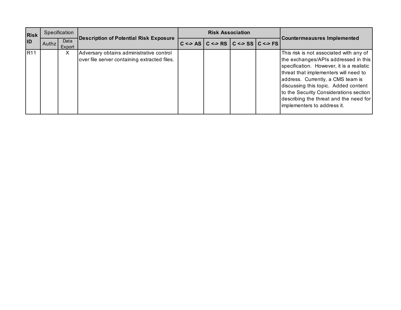| <b>Risk</b><br><b>ID</b> | Specification |                |                                                                                          | <b>Risk Association</b>                                                                              |  |  |                                                                                                                                                                                                                                                                                                                                                                       |
|--------------------------|---------------|----------------|------------------------------------------------------------------------------------------|------------------------------------------------------------------------------------------------------|--|--|-----------------------------------------------------------------------------------------------------------------------------------------------------------------------------------------------------------------------------------------------------------------------------------------------------------------------------------------------------------------------|
|                          | Authz I       | Data<br>Export | <b>Description of Potential Risk Exposure</b>                                            | $C \Leftrightarrow AS \mid C \Leftrightarrow RS \mid C \Leftrightarrow SS \mid C \Leftrightarrow FS$ |  |  | Countermeausres Implemented                                                                                                                                                                                                                                                                                                                                           |
| R11                      |               | X              | Adversary obtains administrative control<br>over file server containing extracted files. |                                                                                                      |  |  | This risk is not associated with any of<br>the exchanges/APIs addressed in this<br>specification. However, it is a realistic<br>threat that implementers will need to<br>address. Currently, a CMS team is<br>discussing this topic. Added content<br>to the Security Considerations section<br>describing the threat and the need for<br>implementers to address it. |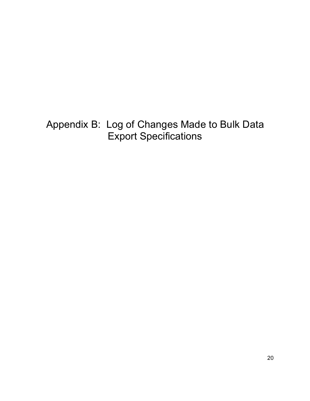Appendix B: Log of Changes Made to Bulk Data Export Specifications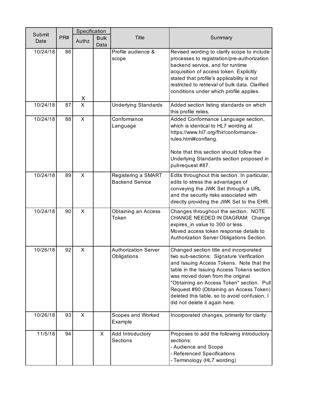|                |     | Specification |                     |                                               |                                                                                                                                                                                                                                                                                                                                                                                           |  |  |  |  |
|----------------|-----|---------------|---------------------|-----------------------------------------------|-------------------------------------------------------------------------------------------------------------------------------------------------------------------------------------------------------------------------------------------------------------------------------------------------------------------------------------------------------------------------------------------|--|--|--|--|
| Submit<br>Date | PR# | Authz         | <b>Bulk</b><br>Data | <b>Title</b>                                  | Summary                                                                                                                                                                                                                                                                                                                                                                                   |  |  |  |  |
| 10/24/18       | 86  | X             |                     | Profile audience &<br>scope                   | Revised wording to clarify scope to include<br>processes to registration/pre-authorization<br>backend service, and for runtime<br>acquisition of access token. Explicitly<br>stated that profile's applicability is not<br>restricted to retrieval of bulk data. Clarified<br>conditions under which profile applies.                                                                     |  |  |  |  |
| 10/24/18       | 87  | X             |                     | <b>Underlying Standards</b>                   | Added section listing standards on which<br>this profile relies.                                                                                                                                                                                                                                                                                                                          |  |  |  |  |
| 10/24/18       | 88  | $\mathsf{X}$  |                     | Conformance<br>Language                       | Added Conformance Language section,<br>which is identical to HL7 wording at<br>https://www.hl7.org/fhir/conformance-<br>rules.html#conflang.<br>Note that this section should follow the<br>Underlying Standards section proposed in<br>pull-request #87.                                                                                                                                 |  |  |  |  |
| 10/24/18       | 89  | X             |                     | Registering a SMART<br><b>Backend Service</b> | Edits throughout this section. In particular,<br>edits to stress the advantages of<br>conveying the JWK Set through a URL<br>and the security risks associated with<br>directly providing the JWK Set to the EHR.                                                                                                                                                                         |  |  |  |  |
| 10/24/18       | 90  | X             |                     | Obtaining an Access<br>Token                  | Changes throughout the section. NOTE<br>CHANGE NEEDED IN DIAGRAM: Change<br>expires_in value to 300 or less.<br>Moved access token response details to<br>Authorization Server Obligations Section.                                                                                                                                                                                       |  |  |  |  |
| 10/26/18       | 92  | X             |                     | <b>Authorization Server</b><br>Obligations    | Changed section title and incorporated<br>two sub-sections: Signature Verification<br>and Issuing Access Tokens. Note that the<br>table in the Issuing Access Tokens section<br>was moved down from the original<br>"Obtaining an Access Token" section. Pull<br>Request #90 (Obtaining an Access Token)<br>deleted this table, so to avoid confusion, I<br>did not delete it again here. |  |  |  |  |
| 10/26/18       | 93  | X             |                     | Scopes and Worked<br>Example                  | Incorporated changes, primarily for clarity.                                                                                                                                                                                                                                                                                                                                              |  |  |  |  |
| 11/5/18        | 94  |               | X.                  | Add Introductory<br><b>Sections</b>           | Proposes to add the following introductory<br>sections:<br>- Audience and Scope<br>- Referenced Specifications<br>- Terminology (HL7 wording)                                                                                                                                                                                                                                             |  |  |  |  |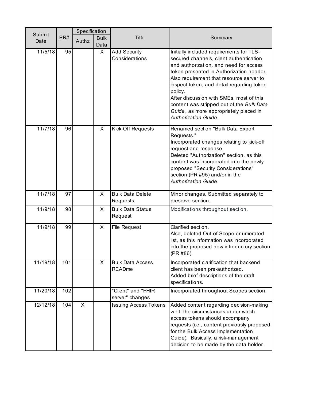|                |     | Specification |                     |                                          |                                                                                                                                                                                                                                                                                                                                                                                                                                          |  |  |
|----------------|-----|---------------|---------------------|------------------------------------------|------------------------------------------------------------------------------------------------------------------------------------------------------------------------------------------------------------------------------------------------------------------------------------------------------------------------------------------------------------------------------------------------------------------------------------------|--|--|
| Submit<br>Date | PR# | Authz         | <b>Bulk</b><br>Data | <b>Title</b>                             | Summary                                                                                                                                                                                                                                                                                                                                                                                                                                  |  |  |
| 11/5/18        | 95  |               | X.                  | <b>Add Security</b><br>Considerations    | Initially included requirements for TLS-<br>secured channels, client authentication<br>and authorization, and need for access<br>token presented in Authorization header.<br>Also requirement that resource server to<br>inspect token, and detail regarding token<br>policy.<br>After discussion with SMEs, most of this<br>content was stripped out of the Bulk Data<br>Guide, as more appropriately placed in<br>Authorization Guide. |  |  |
| 11/7/18        | 96  |               | X                   | <b>Kick-Off Requests</b>                 | Renamed section "Bulk Data Export<br>Requests."<br>Incorporated changes relating to kick-off<br>request and response.<br>Deleted "Authorization" section, as this<br>content was incorporated into the newly<br>proposed "Security Considerations"<br>section (PR #95) and/or in the<br><b>Authorization Guide.</b>                                                                                                                      |  |  |
| 11/7/18        | 97  |               | X                   | <b>Bulk Data Delete</b><br>Requests      | Minor changes. Submitted separately to<br>preserve section.                                                                                                                                                                                                                                                                                                                                                                              |  |  |
| 11/9/18        | 98  |               | X                   | <b>Bulk Data Status</b><br>Request       | Modifications throughout section.                                                                                                                                                                                                                                                                                                                                                                                                        |  |  |
| 11/9/18        | 99  |               | X                   | <b>File Request</b>                      | Clarified section.<br>Also, deleted Out-of-Scope enumerated<br>list, as this information was incorporated<br>into the proposed new introductory section<br>(PR #86).                                                                                                                                                                                                                                                                     |  |  |
| 11/19/18       | 101 |               | X.                  | <b>Bulk Data Access</b><br><b>READme</b> | Incorporated clarification that backend<br>client has been pre-authorized.<br>Added brief descriptions of the draft<br>specifications.                                                                                                                                                                                                                                                                                                   |  |  |
| 11/20/18       | 102 |               |                     | "Client" and "FHIR<br>server" changes    | Incorporated throughout Scopes section.                                                                                                                                                                                                                                                                                                                                                                                                  |  |  |
| 12/12/18       | 104 | X             |                     | <b>Issuing Access Tokens</b>             | Added content regarding decision-making<br>w.r.t. the circumstances under which<br>access tokens should accompany<br>requests (i.e., content previously proposed<br>for the Bulk Access Implementation<br>Guide). Basically, a risk-management<br>decision to be made by the data holder.                                                                                                                                                |  |  |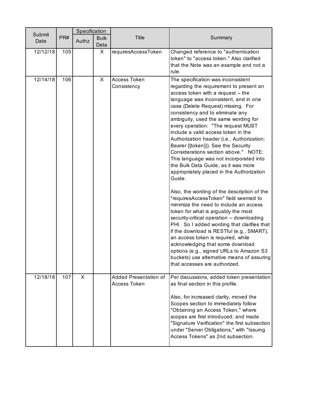|                | Specification |       |                     |                                              |                                                                                                                                                                                                                                                                                                                                                                                                                                                                                                                                                                                                                                                                                                                                                                                                                                                          |  |  |
|----------------|---------------|-------|---------------------|----------------------------------------------|----------------------------------------------------------------------------------------------------------------------------------------------------------------------------------------------------------------------------------------------------------------------------------------------------------------------------------------------------------------------------------------------------------------------------------------------------------------------------------------------------------------------------------------------------------------------------------------------------------------------------------------------------------------------------------------------------------------------------------------------------------------------------------------------------------------------------------------------------------|--|--|
| Submit<br>Date | PR#           | Authz | <b>Bulk</b><br>Data | <b>Title</b>                                 | Summary                                                                                                                                                                                                                                                                                                                                                                                                                                                                                                                                                                                                                                                                                                                                                                                                                                                  |  |  |
| 12/12/18       | 105           |       | X                   | requiresAccessToken                          | Changed reference to "authentication<br>token" to "access token." Also clarified<br>that the Note was an example and not a<br>rule.                                                                                                                                                                                                                                                                                                                                                                                                                                                                                                                                                                                                                                                                                                                      |  |  |
| 12/14/18       | 106           |       | X                   | Access Token<br>Consistency                  | The specification was inconsistent<br>regarding the requirement to present an<br>access token with a request -- the<br>language was inconsistent, and in one<br>case (Delete Request) missing. For<br>consistency and to eliminate any<br>ambiguity, used the same wording for<br>every operation: "The request MUST<br>include a valid access token in the<br>Authorization header (i.e., Authorization:<br>Bearer {{token}}). See the Security<br>Considerations section above." NOTE:<br>This language was not incorporated into<br>the Bulk Data Guide, as it was more<br>appropriately placed in the Authorization<br>Guide.<br>Also, the wording of the description of the<br>"requiresAccessToken" field seemed to<br>minimize the need to include an access<br>token for what is arguably the most<br>security-critical operation -- downloading |  |  |
|                |               |       |                     |                                              | PHI. So I added wording that clarifies that<br>if the download is RESTful (e.g., SMART),<br>an access token is required, while<br>acknowledging that some download<br>options (e.g., signed URLs to Amazon S3<br>buckets) use alternative means of assuring<br>that accesses are authorized.                                                                                                                                                                                                                                                                                                                                                                                                                                                                                                                                                             |  |  |
| 12/18/18       | 107           | X     |                     | Added Presentation of<br><b>Access Token</b> | Per discussions, added token presentation<br>as final section in this profile.<br>Also, for increased clarity, moved the<br>Scopes section to immediately follow<br>"Obtaining an Access Token," where<br>scopes are first introduced; and made<br>"Signature Verification" the first subsection<br>under "Server Obligations," with "Issuing<br>Access Tokens" as 2nd subsection.                                                                                                                                                                                                                                                                                                                                                                                                                                                                       |  |  |